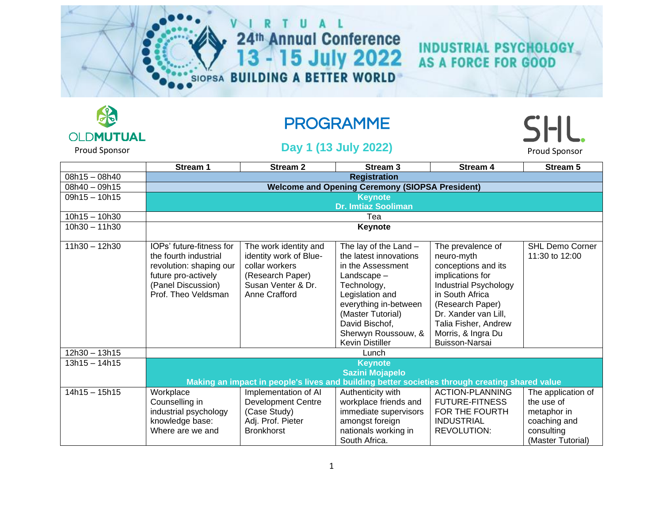# 24th Annual Conference<br>13 - 15 July 2022



# PROGRAMME

#### Proud Sponsor **Day 1 (13 July 2022)** Proud Sponsor Proud Sponsor

**SHL** 

**INDUSTRIAL PSYCHOLOGY<br>AS A FORCE FOR GOOD** 

|                 | Stream 1                                                                                                                                         | <b>Stream 2</b>                                                                                                              | Stream <sub>3</sub>                                                                                                                                                                                                              | Stream 4                                                                                                                                                                                                                           | Stream 5                                 |  |  |
|-----------------|--------------------------------------------------------------------------------------------------------------------------------------------------|------------------------------------------------------------------------------------------------------------------------------|----------------------------------------------------------------------------------------------------------------------------------------------------------------------------------------------------------------------------------|------------------------------------------------------------------------------------------------------------------------------------------------------------------------------------------------------------------------------------|------------------------------------------|--|--|
| $08h15 - 08h40$ | <b>Registration</b>                                                                                                                              |                                                                                                                              |                                                                                                                                                                                                                                  |                                                                                                                                                                                                                                    |                                          |  |  |
| $08h40 - 09h15$ | <b>Welcome and Opening Ceremony (SIOPSA President)</b>                                                                                           |                                                                                                                              |                                                                                                                                                                                                                                  |                                                                                                                                                                                                                                    |                                          |  |  |
| $09h15 - 10h15$ |                                                                                                                                                  |                                                                                                                              | <b>Keynote</b>                                                                                                                                                                                                                   |                                                                                                                                                                                                                                    |                                          |  |  |
|                 |                                                                                                                                                  |                                                                                                                              | <b>Dr. Imtiaz Sooliman</b>                                                                                                                                                                                                       |                                                                                                                                                                                                                                    |                                          |  |  |
| $10h15 - 10h30$ |                                                                                                                                                  |                                                                                                                              | Tea                                                                                                                                                                                                                              |                                                                                                                                                                                                                                    |                                          |  |  |
| $10h30 - 11h30$ |                                                                                                                                                  | Keynote                                                                                                                      |                                                                                                                                                                                                                                  |                                                                                                                                                                                                                                    |                                          |  |  |
| $11h30 - 12h30$ | IOPs' future-fitness for<br>the fourth industrial<br>revolution: shaping our<br>future pro-actively<br>(Panel Discussion)<br>Prof. Theo Veldsman | The work identity and<br>identity work of Blue-<br>collar workers<br>(Research Paper)<br>Susan Venter & Dr.<br>Anne Crafford | The lay of the Land $-$<br>the latest innovations<br>in the Assessment<br>Landscape-<br>Technology,<br>Legislation and<br>everything in-between<br>(Master Tutorial)<br>David Bischof,<br>Sherwyn Roussouw, &<br>Kevin Distiller | The prevalence of<br>neuro-myth<br>conceptions and its<br>implications for<br>Industrial Psychology<br>in South Africa<br>(Research Paper)<br>Dr. Xander van Lill,<br>Talia Fisher, Andrew<br>Morris, & Ingra Du<br>Buisson-Narsai | <b>SHL Demo Corner</b><br>11:30 to 12:00 |  |  |
| 12h30 - 13h15   | Lunch                                                                                                                                            |                                                                                                                              |                                                                                                                                                                                                                                  |                                                                                                                                                                                                                                    |                                          |  |  |
| $13h15 - 14h15$ |                                                                                                                                                  |                                                                                                                              | <b>Keynote</b>                                                                                                                                                                                                                   |                                                                                                                                                                                                                                    |                                          |  |  |
|                 |                                                                                                                                                  |                                                                                                                              | <b>Sazini Mojapelo</b>                                                                                                                                                                                                           |                                                                                                                                                                                                                                    |                                          |  |  |
|                 | Making an impact in people's lives and building better societies through creating shared value                                                   |                                                                                                                              |                                                                                                                                                                                                                                  |                                                                                                                                                                                                                                    |                                          |  |  |
| $14h15 - 15h15$ | Workplace                                                                                                                                        | Implementation of AI                                                                                                         | Authenticity with                                                                                                                                                                                                                | <b>ACTION-PLANNING</b>                                                                                                                                                                                                             | The application of                       |  |  |
|                 | Counselling in                                                                                                                                   | <b>Development Centre</b>                                                                                                    | workplace friends and                                                                                                                                                                                                            | <b>FUTURE-FITNESS</b>                                                                                                                                                                                                              | the use of                               |  |  |
|                 | industrial psychology                                                                                                                            | (Case Study)                                                                                                                 | immediate supervisors                                                                                                                                                                                                            | FOR THE FOURTH                                                                                                                                                                                                                     | metaphor in                              |  |  |
|                 | knowledge base:                                                                                                                                  | Adj. Prof. Pieter                                                                                                            | amongst foreign                                                                                                                                                                                                                  | <b>INDUSTRIAL</b>                                                                                                                                                                                                                  | coaching and                             |  |  |
|                 | Where are we and                                                                                                                                 | <b>Bronkhorst</b>                                                                                                            | nationals working in                                                                                                                                                                                                             | <b>REVOLUTION:</b>                                                                                                                                                                                                                 | consulting                               |  |  |
|                 |                                                                                                                                                  |                                                                                                                              | South Africa.                                                                                                                                                                                                                    |                                                                                                                                                                                                                                    | (Master Tutorial)                        |  |  |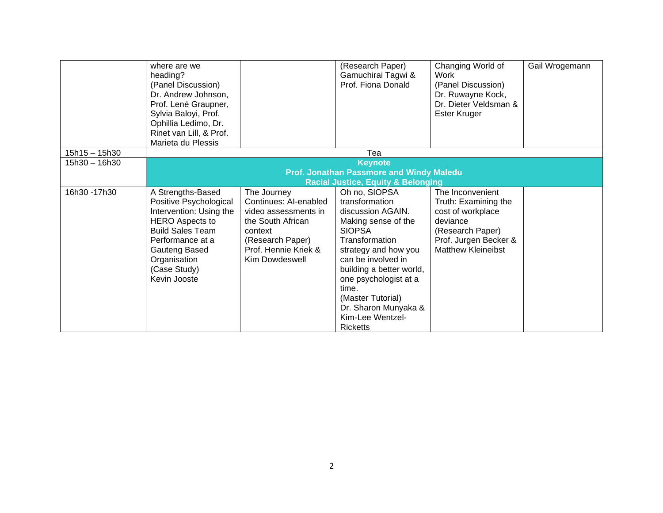|                 | where are we<br>heading?<br>(Panel Discussion)<br>Dr. Andrew Johnson,<br>Prof. Lené Graupner,<br>Sylvia Baloyi, Prof.<br>Ophillia Ledimo, Dr.<br>Rinet van Lill, & Prof.                                         |                                                                                                                                                            | (Research Paper)<br>Gamuchirai Tagwi &<br>Prof. Fiona Donald                                                                                                                                                                                                                                                   | Changing World of<br>Work<br>(Panel Discussion)<br>Dr. Ruwayne Kock,<br>Dr. Dieter Veldsman &<br>Ester Kruger                                       | Gail Wrogemann |
|-----------------|------------------------------------------------------------------------------------------------------------------------------------------------------------------------------------------------------------------|------------------------------------------------------------------------------------------------------------------------------------------------------------|----------------------------------------------------------------------------------------------------------------------------------------------------------------------------------------------------------------------------------------------------------------------------------------------------------------|-----------------------------------------------------------------------------------------------------------------------------------------------------|----------------|
| $15h15 - 15h30$ | Marieta du Plessis                                                                                                                                                                                               |                                                                                                                                                            | Tea                                                                                                                                                                                                                                                                                                            |                                                                                                                                                     |                |
| 15h30 - 16h30   |                                                                                                                                                                                                                  |                                                                                                                                                            | <b>Keynote</b>                                                                                                                                                                                                                                                                                                 |                                                                                                                                                     |                |
|                 |                                                                                                                                                                                                                  |                                                                                                                                                            | <b>Prof. Jonathan Passmore and Windy Maledu</b>                                                                                                                                                                                                                                                                |                                                                                                                                                     |                |
|                 |                                                                                                                                                                                                                  |                                                                                                                                                            | <b>Racial Justice, Equity &amp; Belonging</b>                                                                                                                                                                                                                                                                  |                                                                                                                                                     |                |
| 16h30 - 17h30   | A Strengths-Based<br>Positive Psychological<br>Intervention: Using the<br><b>HERO</b> Aspects to<br><b>Build Sales Team</b><br>Performance at a<br>Gauteng Based<br>Organisation<br>(Case Study)<br>Kevin Jooste | The Journey<br>Continues: AI-enabled<br>video assessments in<br>the South African<br>context<br>(Research Paper)<br>Prof. Hennie Kriek &<br>Kim Dowdeswell | Oh no, SIOPSA<br>transformation<br>discussion AGAIN.<br>Making sense of the<br><b>SIOPSA</b><br>Transformation<br>strategy and how you<br>can be involved in<br>building a better world,<br>one psychologist at a<br>time.<br>(Master Tutorial)<br>Dr. Sharon Munyaka &<br>Kim-Lee Wentzel-<br><b>Ricketts</b> | The Inconvenient<br>Truth: Examining the<br>cost of workplace<br>deviance<br>(Research Paper)<br>Prof. Jurgen Becker &<br><b>Matthew Kleineibst</b> |                |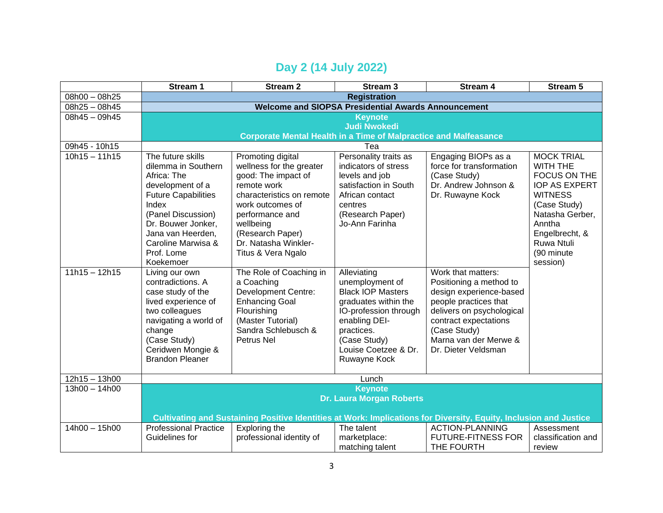### **Day 2 (14 July 2022)**

|                 | Stream 1                                                                                                          | <b>Stream 2</b>                                                         | Stream <sub>3</sub>                  | Stream 4                              | <b>Stream 5</b>      |  |
|-----------------|-------------------------------------------------------------------------------------------------------------------|-------------------------------------------------------------------------|--------------------------------------|---------------------------------------|----------------------|--|
| 08h00 - 08h25   | <b>Registration</b>                                                                                               |                                                                         |                                      |                                       |                      |  |
| 08h25 - 08h45   | <b>Welcome and SIOPSA Presidential Awards Announcement</b>                                                        |                                                                         |                                      |                                       |                      |  |
| 08h45 - 09h45   | <b>Keynote</b>                                                                                                    |                                                                         |                                      |                                       |                      |  |
|                 |                                                                                                                   |                                                                         | <b>Judi Nwokedi</b>                  |                                       |                      |  |
|                 |                                                                                                                   | <b>Corporate Mental Health in a Time of Malpractice and Malfeasance</b> |                                      |                                       |                      |  |
| 09h45 - 10h15   |                                                                                                                   |                                                                         | Tea                                  |                                       |                      |  |
| $10h15 - 11h15$ | The future skills                                                                                                 | Promoting digital                                                       | Personality traits as                | Engaging BIOPs as a                   | <b>MOCK TRIAL</b>    |  |
|                 | dilemma in Southern                                                                                               | wellness for the greater                                                | indicators of stress                 | force for transformation              | WITH THE             |  |
|                 | Africa: The                                                                                                       | good: The impact of                                                     | levels and job                       | (Case Study)                          | FOCUS ON THE         |  |
|                 | development of a                                                                                                  | remote work                                                             | satisfaction in South                | Dr. Andrew Johnson &                  | <b>IOP AS EXPERT</b> |  |
|                 | <b>Future Capabilities</b>                                                                                        | characteristics on remote                                               | African contact                      | Dr. Ruwayne Kock                      | <b>WITNESS</b>       |  |
|                 | Index                                                                                                             | work outcomes of                                                        | centres                              |                                       | (Case Study)         |  |
|                 | (Panel Discussion)                                                                                                | performance and                                                         | (Research Paper)                     |                                       | Natasha Gerber,      |  |
|                 | Dr. Bouwer Jonker,                                                                                                | wellbeing                                                               | Jo-Ann Farinha                       |                                       | Anntha               |  |
|                 | Jana van Heerden,                                                                                                 | (Research Paper)                                                        |                                      |                                       | Engelbrecht, &       |  |
|                 | Caroline Marwisa &                                                                                                | Dr. Natasha Winkler-                                                    |                                      |                                       | Ruwa Ntuli           |  |
|                 | Prof. Lome                                                                                                        | Titus & Vera Ngalo                                                      |                                      |                                       | (90 minute)          |  |
|                 | Koekemoer                                                                                                         |                                                                         |                                      |                                       | session)             |  |
| $11h15 - 12h15$ | Living our own                                                                                                    | The Role of Coaching in                                                 | Alleviating                          | Work that matters:                    |                      |  |
|                 | contradictions. A                                                                                                 | a Coaching                                                              | unemployment of                      | Positioning a method to               |                      |  |
|                 | case study of the                                                                                                 | <b>Development Centre:</b>                                              | <b>Black IOP Masters</b>             | design experience-based               |                      |  |
|                 | lived experience of                                                                                               | <b>Enhancing Goal</b>                                                   | graduates within the                 | people practices that                 |                      |  |
|                 | two colleagues                                                                                                    | Flourishing                                                             | IO-profession through                | delivers on psychological             |                      |  |
|                 | navigating a world of                                                                                             | (Master Tutorial)                                                       | enabling DEI-                        | contract expectations                 |                      |  |
|                 | change                                                                                                            | Sandra Schlebusch &<br>Petrus Nel                                       | practices.                           | (Case Study)<br>Marna van der Merwe & |                      |  |
|                 | (Case Study)                                                                                                      |                                                                         | (Case Study)<br>Louise Coetzee & Dr. | Dr. Dieter Veldsman                   |                      |  |
|                 | Ceridwen Mongie &<br><b>Brandon Pleaner</b>                                                                       |                                                                         |                                      |                                       |                      |  |
|                 |                                                                                                                   |                                                                         | Ruwayne Kock                         |                                       |                      |  |
| $12h15 - 13h00$ | Lunch                                                                                                             |                                                                         |                                      |                                       |                      |  |
| $13h00 - 14h00$ |                                                                                                                   |                                                                         | <b>Keynote</b>                       |                                       |                      |  |
|                 | <b>Dr. Laura Morgan Roberts</b>                                                                                   |                                                                         |                                      |                                       |                      |  |
|                 |                                                                                                                   |                                                                         |                                      |                                       |                      |  |
|                 | Cultivating and Sustaining Positive Identities at Work: Implications for Diversity, Equity, Inclusion and Justice |                                                                         |                                      |                                       |                      |  |
| 14h00 - 15h00   | <b>Professional Practice</b>                                                                                      | Exploring the                                                           | The talent                           | <b>ACTION-PLANNING</b>                | Assessment           |  |
|                 | Guidelines for                                                                                                    | professional identity of                                                | marketplace:                         | <b>FUTURE-FITNESS FOR</b>             | classification and   |  |
|                 |                                                                                                                   |                                                                         | matching talent                      | THE FOURTH                            | review               |  |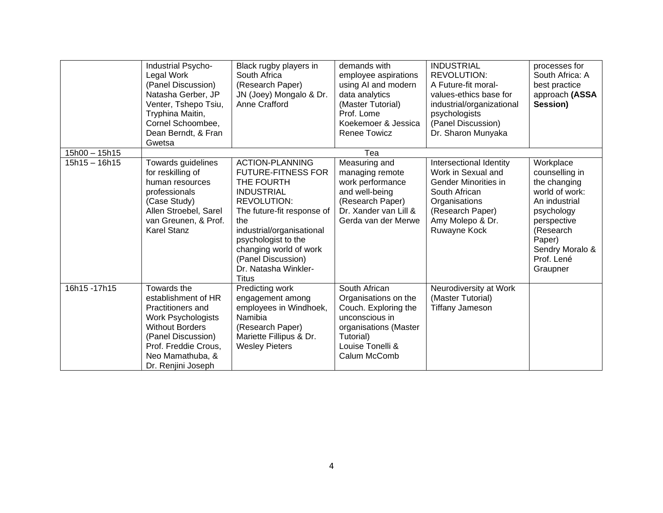|                 | Industrial Psycho-<br>Legal Work<br>(Panel Discussion)<br>Natasha Gerber, JP<br>Venter, Tshepo Tsiu,<br>Tryphina Maitin,<br>Cornel Schoombee,<br>Dean Berndt, & Fran<br>Gwetsa                                | Black rugby players in<br>South Africa<br>(Research Paper)<br>JN (Joey) Mongalo & Dr.<br>Anne Crafford                                                                                                                                                                                        | demands with<br>employee aspirations<br>using AI and modern<br>data analytics<br>(Master Tutorial)<br>Prof. Lome<br>Koekemoer & Jessica<br><b>Renee Towicz</b> | <b>INDUSTRIAL</b><br>REVOLUTION:<br>A Future-fit moral-<br>values-ethics base for<br>industrial/organizational<br>psychologists<br>(Panel Discussion)<br>Dr. Sharon Munyaka | processes for<br>South Africa: A<br>best practice<br>approach (ASSA<br>Session)                                                                                                 |
|-----------------|---------------------------------------------------------------------------------------------------------------------------------------------------------------------------------------------------------------|-----------------------------------------------------------------------------------------------------------------------------------------------------------------------------------------------------------------------------------------------------------------------------------------------|----------------------------------------------------------------------------------------------------------------------------------------------------------------|-----------------------------------------------------------------------------------------------------------------------------------------------------------------------------|---------------------------------------------------------------------------------------------------------------------------------------------------------------------------------|
| $15h00 - 15h15$ |                                                                                                                                                                                                               |                                                                                                                                                                                                                                                                                               | Tea                                                                                                                                                            |                                                                                                                                                                             |                                                                                                                                                                                 |
| $15h15 - 16h15$ | Towards guidelines<br>for reskilling of<br>human resources<br>professionals<br>(Case Study)<br>Allen Stroebel, Sarel<br>van Greunen, & Prof.<br><b>Karel Stanz</b>                                            | <b>ACTION-PLANNING</b><br><b>FUTURE-FITNESS FOR</b><br>THE FOURTH<br><b>INDUSTRIAL</b><br><b>REVOLUTION:</b><br>The future-fit response of<br>the<br>industrial/organisational<br>psychologist to the<br>changing world of work<br>(Panel Discussion)<br>Dr. Natasha Winkler-<br><b>Titus</b> | Measuring and<br>managing remote<br>work performance<br>and well-being<br>(Research Paper)<br>Dr. Xander van Lill &<br>Gerda van der Merwe                     | Intersectional Identity<br>Work in Sexual and<br>Gender Minorities in<br>South African<br>Organisations<br>(Research Paper)<br>Amy Molepo & Dr.<br>Ruwayne Kock             | Workplace<br>counselling in<br>the changing<br>world of work:<br>An industrial<br>psychology<br>perspective<br>(Research<br>Paper)<br>Sendry Moralo &<br>Prof. Lené<br>Graupner |
| 16h15-17h15     | Towards the<br>establishment of HR<br><b>Practitioners and</b><br><b>Work Psychologists</b><br><b>Without Borders</b><br>(Panel Discussion)<br>Prof. Freddie Crous,<br>Neo Mamathuba, &<br>Dr. Renjini Joseph | Predicting work<br>engagement among<br>employees in Windhoek,<br>Namibia<br>(Research Paper)<br>Mariette Fillipus & Dr.<br><b>Wesley Pieters</b>                                                                                                                                              | South African<br>Organisations on the<br>Couch. Exploring the<br>unconscious in<br>organisations (Master<br>Tutorial)<br>Louise Tonelli &<br>Calum McComb      | Neurodiversity at Work<br>(Master Tutorial)<br><b>Tiffany Jameson</b>                                                                                                       |                                                                                                                                                                                 |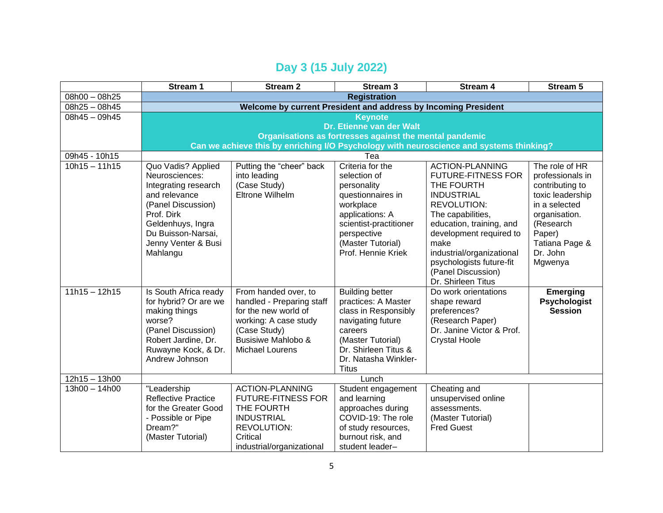## **Day 3 (15 July 2022)**

|                 | Stream 1                                                       | <b>Stream 2</b>           | Stream <sub>3</sub>                                     | Stream 4                                                                                | Stream 5            |  |  |
|-----------------|----------------------------------------------------------------|---------------------------|---------------------------------------------------------|-----------------------------------------------------------------------------------------|---------------------|--|--|
| 08h00 - 08h25   | <b>Registration</b>                                            |                           |                                                         |                                                                                         |                     |  |  |
| $08h25 - 08h45$ | Welcome by current President and address by Incoming President |                           |                                                         |                                                                                         |                     |  |  |
| $08h45 - 09h45$ |                                                                | <b>Keynote</b>            |                                                         |                                                                                         |                     |  |  |
|                 |                                                                |                           | Dr. Etienne van der Walt                                |                                                                                         |                     |  |  |
|                 |                                                                |                           | Organisations as fortresses against the mental pandemic |                                                                                         |                     |  |  |
|                 |                                                                |                           |                                                         | Can we achieve this by enriching I/O Psychology with neuroscience and systems thinking? |                     |  |  |
| 09h45 - 10h15   |                                                                |                           | Tea                                                     |                                                                                         |                     |  |  |
| $10h15 - 11h15$ | Quo Vadis? Applied                                             | Putting the "cheer" back  | Criteria for the                                        | <b>ACTION-PLANNING</b>                                                                  | The role of HR      |  |  |
|                 | Neurosciences:                                                 | into leading              | selection of                                            | <b>FUTURE-FITNESS FOR</b>                                                               | professionals in    |  |  |
|                 | Integrating research                                           | (Case Study)              | personality                                             | THE FOURTH                                                                              | contributing to     |  |  |
|                 | and relevance                                                  | Eltrone Wilhelm           | questionnaires in                                       | <b>INDUSTRIAL</b>                                                                       | toxic leadership    |  |  |
|                 | (Panel Discussion)                                             |                           | workplace                                               | <b>REVOLUTION:</b>                                                                      | in a selected       |  |  |
|                 | Prof. Dirk                                                     |                           | applications: A                                         | The capabilities,                                                                       | organisation.       |  |  |
|                 | Geldenhuys, Ingra                                              |                           | scientist-practitioner                                  | education, training, and                                                                | (Research           |  |  |
|                 | Du Buisson-Narsai,                                             |                           | perspective                                             | development required to                                                                 | Paper)              |  |  |
|                 | Jenny Venter & Busi                                            |                           | (Master Tutorial)                                       | make                                                                                    | Tatiana Page &      |  |  |
|                 | Mahlangu                                                       |                           | Prof. Hennie Kriek                                      | industrial/organizational                                                               | Dr. John            |  |  |
|                 |                                                                |                           |                                                         | psychologists future-fit                                                                | Mgwenya             |  |  |
|                 |                                                                |                           |                                                         | (Panel Discussion)                                                                      |                     |  |  |
|                 |                                                                |                           |                                                         | Dr. Shirleen Titus                                                                      |                     |  |  |
| $11h15 - 12h15$ | Is South Africa ready                                          | From handed over, to      | <b>Building better</b>                                  | Do work orientations                                                                    | <b>Emerging</b>     |  |  |
|                 | for hybrid? Or are we                                          | handled - Preparing staff | practices: A Master                                     | shape reward                                                                            | <b>Psychologist</b> |  |  |
|                 | making things                                                  | for the new world of      | class in Responsibly                                    | preferences?                                                                            | <b>Session</b>      |  |  |
|                 | worse?                                                         | working: A case study     | navigating future                                       | (Research Paper)                                                                        |                     |  |  |
|                 | (Panel Discussion)                                             | (Case Study)              | careers                                                 | Dr. Janine Victor & Prof.                                                               |                     |  |  |
|                 | Robert Jardine, Dr.                                            | Busisiwe Mahlobo &        | (Master Tutorial)                                       | <b>Crystal Hoole</b>                                                                    |                     |  |  |
|                 | Ruwayne Kock, & Dr.<br>Andrew Johnson                          | <b>Michael Lourens</b>    | Dr. Shirleen Titus &                                    |                                                                                         |                     |  |  |
|                 |                                                                |                           | Dr. Natasha Winkler-                                    |                                                                                         |                     |  |  |
| $12h15 - 13h00$ | <b>Titus</b><br>Lunch                                          |                           |                                                         |                                                                                         |                     |  |  |
| $13h00 - 14h00$ | "Leadership                                                    | <b>ACTION-PLANNING</b>    | Student engagement                                      | Cheating and                                                                            |                     |  |  |
|                 | <b>Reflective Practice</b>                                     | <b>FUTURE-FITNESS FOR</b> | and learning                                            | unsupervised online                                                                     |                     |  |  |
|                 | for the Greater Good                                           | THE FOURTH                | approaches during                                       | assessments.                                                                            |                     |  |  |
|                 | - Possible or Pipe                                             | <b>INDUSTRIAL</b>         | COVID-19: The role                                      | (Master Tutorial)                                                                       |                     |  |  |
|                 | Dream?"                                                        | <b>REVOLUTION:</b>        | of study resources,                                     | <b>Fred Guest</b>                                                                       |                     |  |  |
|                 | (Master Tutorial)                                              | Critical                  | burnout risk, and                                       |                                                                                         |                     |  |  |
|                 |                                                                | industrial/organizational | student leader-                                         |                                                                                         |                     |  |  |